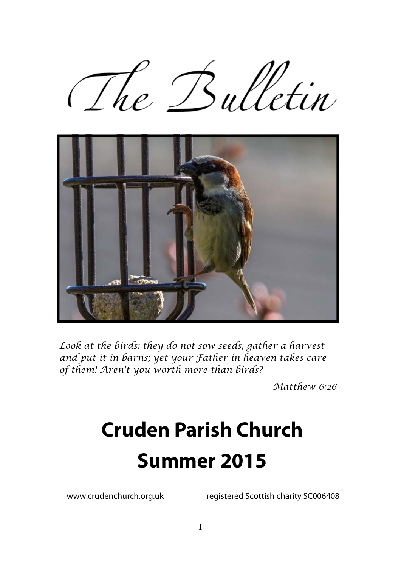



*Look at the birds: they do not sow seeds, gather a harvest and put it in barns; yet your Father in heaven takes care of them! Aren't you worth more than birds?* 

*Matthew 6:26* 

# **Cruden Parish Church Summer 2015**

www.crudenchurch.org.uk registered Scottish charity SC006408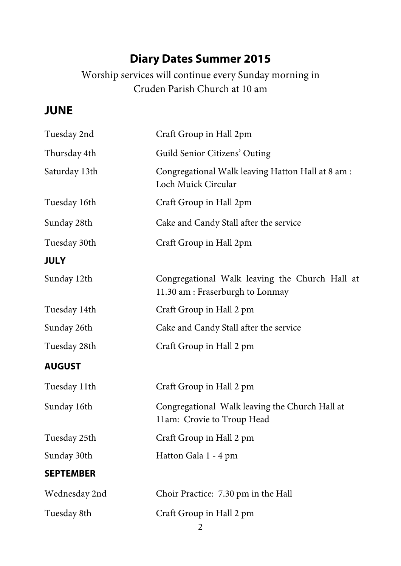# **Diary Dates Summer 2015**

Worship services will continue every Sunday morning in Cruden Parish Church at 10 am

### **JUNE**

| Tuesday 2nd      | Craft Group in Hall 2pm                                                           |  |
|------------------|-----------------------------------------------------------------------------------|--|
| Thursday 4th     | Guild Senior Citizens' Outing                                                     |  |
| Saturday 13th    | Congregational Walk leaving Hatton Hall at 8 am :<br>Loch Muick Circular          |  |
| Tuesday 16th     | Craft Group in Hall 2pm                                                           |  |
| Sunday 28th      | Cake and Candy Stall after the service                                            |  |
| Tuesday 30th     | Craft Group in Hall 2pm                                                           |  |
| <b>JULY</b>      |                                                                                   |  |
| Sunday 12th      | Congregational Walk leaving the Church Hall at<br>11.30 am: Fraserburgh to Lonmay |  |
| Tuesday 14th     | Craft Group in Hall 2 pm                                                          |  |
| Sunday 26th      | Cake and Candy Stall after the service                                            |  |
| Tuesday 28th     | Craft Group in Hall 2 pm                                                          |  |
| <b>AUGUST</b>    |                                                                                   |  |
| Tuesday 11th     | Craft Group in Hall 2 pm                                                          |  |
| Sunday 16th      | Congregational Walk leaving the Church Hall at<br>11am: Crovie to Troup Head      |  |
| Tuesday 25th     | Craft Group in Hall 2 pm                                                          |  |
| Sunday 30th      | Hatton Gala 1 - 4 pm                                                              |  |
| <b>SEPTEMBER</b> |                                                                                   |  |
| Wednesday 2nd    | Choir Practice: 7.30 pm in the Hall                                               |  |
| Tuesday 8th      | Craft Group in Hall 2 pm                                                          |  |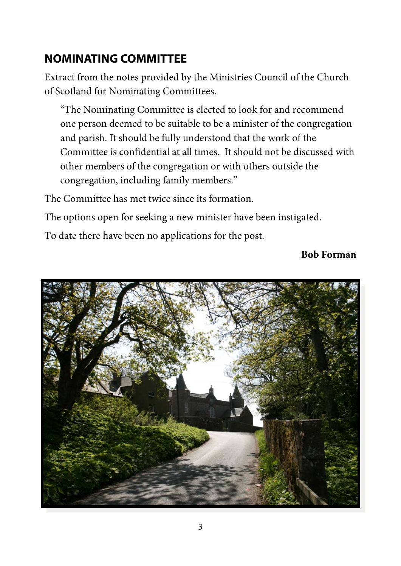# **NOMINATING COMMITTEE**

Extract from the notes provided by the Ministries Council of the Church of Scotland for Nominating Committees.

"The Nominating Committee is elected to look for and recommend one person deemed to be suitable to be a minister of the congregation and parish. It should be fully understood that the work of the Committee is confidential at all times. It should not be discussed with other members of the congregation or with others outside the congregation, including family members."

The Committee has met twice since its formation.

The options open for seeking a new minister have been instigated.

To date there have been no applications for the post.

#### **Bob Forman**

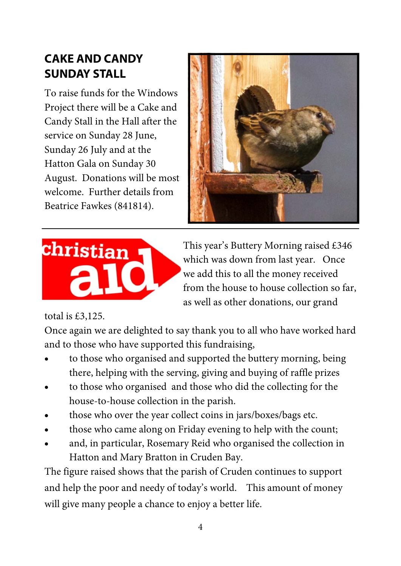## **CAKE AND CANDY SUNDAY STALL**

To raise funds for the Windows Project there will be a Cake and Candy Stall in the Hall after the service on Sunday 28 June, Sunday 26 July and at the Hatton Gala on Sunday 30 August. Donations will be most welcome. Further details from Beatrice Fawkes (841814).





This year's Buttery Morning raised £346 which was down from last year. Once we add this to all the money received from the house to house collection so far, as well as other donations, our grand

#### total is £3,125.

Once again we are delighted to say thank you to all who have worked hard and to those who have supported this fundraising,

- to those who organised and supported the buttery morning, being there, helping with the serving, giving and buying of raffle prizes
- to those who organised and those who did the collecting for the house-to-house collection in the parish.
- those who over the year collect coins in jars/boxes/bags etc.
- those who came along on Friday evening to help with the count;
- and, in particular, Rosemary Reid who organised the collection in Hatton and Mary Bratton in Cruden Bay.

The figure raised shows that the parish of Cruden continues to support and help the poor and needy of today's world. This amount of money will give many people a chance to enjoy a better life.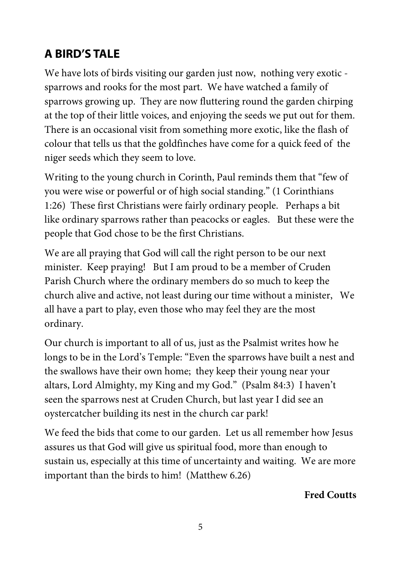# **A BIRD'S TALE**

We have lots of birds visiting our garden just now, nothing very exotic sparrows and rooks for the most part. We have watched a family of sparrows growing up. They are now fluttering round the garden chirping at the top of their little voices, and enjoying the seeds we put out for them. There is an occasional visit from something more exotic, like the flash of colour that tells us that the goldfinches have come for a quick feed of the niger seeds which they seem to love.

Writing to the young church in Corinth, Paul reminds them that "few of you were wise or powerful or of high social standing." (1 Corinthians 1:26) These first Christians were fairly ordinary people. Perhaps a bit like ordinary sparrows rather than peacocks or eagles. But these were the people that God chose to be the first Christians.

We are all praying that God will call the right person to be our next minister. Keep praying! But I am proud to be a member of Cruden Parish Church where the ordinary members do so much to keep the church alive and active, not least during our time without a minister, We all have a part to play, even those who may feel they are the most ordinary.

Our church is important to all of us, just as the Psalmist writes how he longs to be in the Lord's Temple: "Even the sparrows have built a nest and the swallows have their own home; they keep their young near your altars, Lord Almighty, my King and my God." (Psalm 84:3) I haven't seen the sparrows nest at Cruden Church, but last year I did see an oystercatcher building its nest in the church car park!

We feed the bids that come to our garden. Let us all remember how Jesus assures us that God will give us spiritual food, more than enough to sustain us, especially at this time of uncertainty and waiting. We are more important than the birds to him! (Matthew 6.26)

#### **Fred Coutts**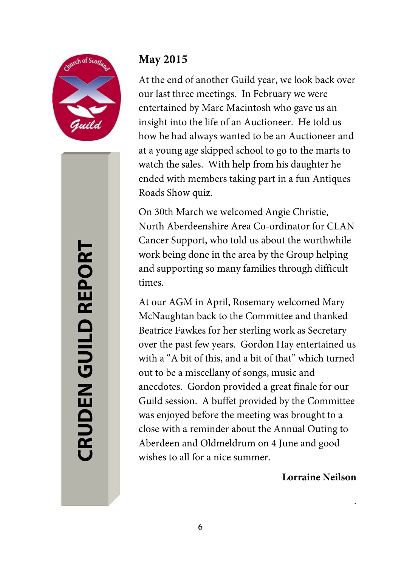

# **CRUDEN GUILD REPORT CRUDEN GUILD REPORT**

#### **May 2015**

At the end of another Guild year, we look back over our last three meetings. In February we were entertained by Marc Macintosh who gave us an insight into the life of an Auctioneer. He told us how he had always wanted to be an Auctioneer and at a young age skipped school to go to the marts to watch the sales. With help from his daughter he ended with members taking part in a fun Antiques Roads Show quiz.

On 30th March we welcomed Angie Christie, North Aberdeenshire Area Co-ordinator for CLAN Cancer Support, who told us about the worthwhile work being done in the area by the Group helping and supporting so many families through difficult times.

At our AGM in April, Rosemary welcomed Mary McNaughtan back to the Committee and thanked Beatrice Fawkes for her sterling work as Secretary over the past few years. Gordon Hay entertained us with a "A bit of this, and a bit of that" which turned out to be a miscellany of songs, music and anecdotes. Gordon provided a great finale for our Guild session. A buffet provided by the Committee was enjoyed before the meeting was brought to a close with a reminder about the Annual Outing to Aberdeen and Oldmeldrum on 4 June and good wishes to all for a nice summer.

**Lorraine Neilson** 

.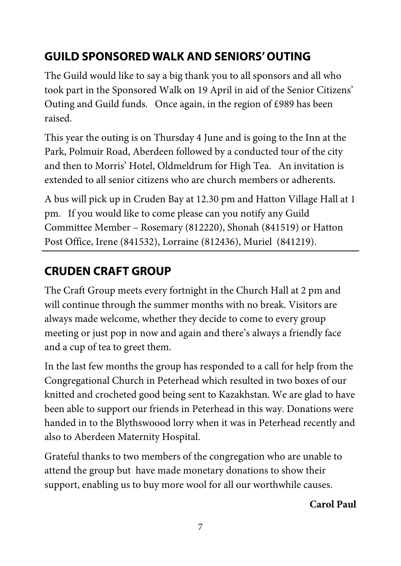# **GUILD SPONSORED WALK AND SENIORS' OUTING**

The Guild would like to say a big thank you to all sponsors and all who took part in the Sponsored Walk on 19 April in aid of the Senior Citizens' Outing and Guild funds. Once again, in the region of £989 has been raised.

This year the outing is on Thursday 4 June and is going to the Inn at the Park, Polmuir Road, Aberdeen followed by a conducted tour of the city and then to Morris' Hotel, Oldmeldrum for High Tea. An invitation is extended to all senior citizens who are church members or adherents.

A bus will pick up in Cruden Bay at 12.30 pm and Hatton Village Hall at 1 pm. If you would like to come please can you notify any Guild Committee Member – Rosemary (812220), Shonah (841519) or Hatton Post Office, Irene (841532), Lorraine (812436), Muriel (841219).

# **CRUDEN CRAFT GROUP**

The Craft Group meets every fortnight in the Church Hall at 2 pm and will continue through the summer months with no break. Visitors are always made welcome, whether they decide to come to every group meeting or just pop in now and again and there's always a friendly face and a cup of tea to greet them.

In the last few months the group has responded to a call for help from the Congregational Church in Peterhead which resulted in two boxes of our knitted and crocheted good being sent to Kazakhstan. We are glad to have been able to support our friends in Peterhead in this way. Donations were handed in to the Blythswoood lorry when it was in Peterhead recently and also to Aberdeen Maternity Hospital.

Grateful thanks to two members of the congregation who are unable to attend the group but have made monetary donations to show their support, enabling us to buy more wool for all our worthwhile causes.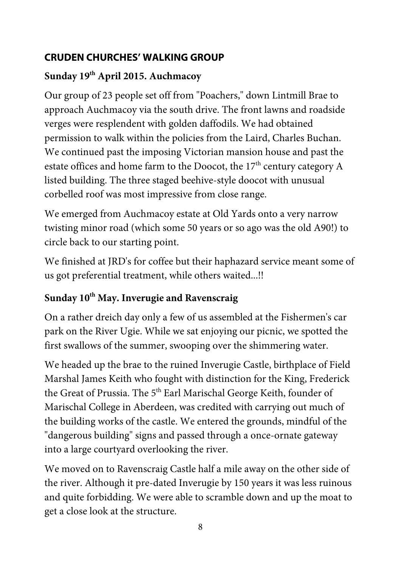#### **CRUDEN CHURCHES' WALKING GROUP**

#### **Sunday 19th April 2015. Auchmacoy**

Our group of 23 people set off from "Poachers," down Lintmill Brae to approach Auchmacoy via the south drive. The front lawns and roadside verges were resplendent with golden daffodils. We had obtained permission to walk within the policies from the Laird, Charles Buchan. We continued past the imposing Victorian mansion house and past the estate offices and home farm to the Doocot, the  $17<sup>th</sup>$  century category A listed building. The three staged beehive-style doocot with unusual corbelled roof was most impressive from close range.

We emerged from Auchmacoy estate at Old Yards onto a very narrow twisting minor road (which some 50 years or so ago was the old A90!) to circle back to our starting point.

We finished at JRD's for coffee but their haphazard service meant some of us got preferential treatment, while others waited...!!

#### Sunday 10<sup>th</sup> May. Inverugie and Ravenscraig

On a rather dreich day only a few of us assembled at the Fishermen's car park on the River Ugie. While we sat enjoying our picnic, we spotted the first swallows of the summer, swooping over the shimmering water.

We headed up the brae to the ruined Inverugie Castle, birthplace of Field Marshal James Keith who fought with distinction for the King, Frederick the Great of Prussia. The 5<sup>th</sup> Earl Marischal George Keith, founder of Marischal College in Aberdeen, was credited with carrying out much of the building works of the castle. We entered the grounds, mindful of the "dangerous building" signs and passed through a once-ornate gateway into a large courtyard overlooking the river.

We moved on to Ravenscraig Castle half a mile away on the other side of the river. Although it pre-dated Inverugie by 150 years it was less ruinous and quite forbidding. We were able to scramble down and up the moat to get a close look at the structure.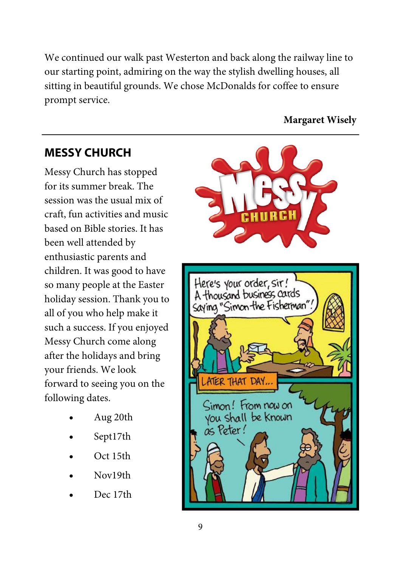We continued our walk past Westerton and back along the railway line to our starting point, admiring on the way the stylish dwelling houses, all sitting in beautiful grounds. We chose McDonalds for coffee to ensure prompt service.

#### **Margaret Wisely**

#### **MESSY CHURCH**

Messy Church has stopped for its summer break. The session was the usual mix of craft, fun activities and music based on Bible stories. It has been well attended by enthusiastic parents and children. It was good to have so many people at the Easter holiday session. Thank you to all of you who help make it such a success. If you enjoyed Messy Church come along after the holidays and bring your friends. We look forward to seeing you on the following dates.

- Aug 20th
- Sept17th
- Oct 15th
- Nov19th
- Dec 17th

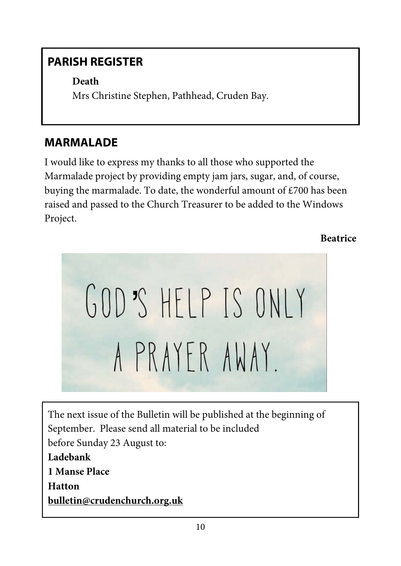# **PARISH REGISTER**

**Death** Mrs Christine Stephen, Pathhead, Cruden Bay.

# **MARMALADE**

I would like to express my thanks to all those who supported the Marmalade project by providing empty jam jars, sugar, and, of course, buying the marmalade. To date, the wonderful amount of £700 has been raised and passed to the Church Treasurer to be added to the Windows Project.

**Beatrice** 



The next issue of the Bulletin will be published at the beginning of September. Please send all material to be included before Sunday 23 August to: **Ladebank 1 Manse Place Hatton bulletin@crudenchurch.org.uk**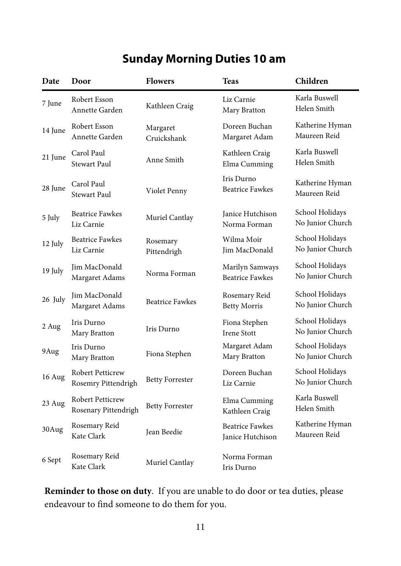# **Sunday Morning Duties 10 am**

| Date    | Door                                            | <b>Flowers</b>          | <b>Teas</b>                                | Children                            |
|---------|-------------------------------------------------|-------------------------|--------------------------------------------|-------------------------------------|
| 7 June  | Robert Esson<br>Annette Garden                  | Kathleen Craig          | Liz Carnie<br>Mary Bratton                 | Karla Buswell<br>Helen Smith        |
| 14 June | Robert Esson<br>Annette Garden                  | Margaret<br>Cruickshank | Doreen Buchan<br>Margaret Adam             | Katherine Hyman<br>Maureen Reid     |
| 21 June | Carol Paul<br>Stewart Paul                      | Anne Smith              | Kathleen Craig<br>Elma Cumming             | Karla Buswell<br>Helen Smith        |
| 28 June | Carol Paul<br>Stewart Paul                      | Violet Penny            | Iris Durno<br><b>Beatrice Fawkes</b>       | Katherine Hyman<br>Maureen Reid     |
| 5 July  | <b>Beatrice Fawkes</b><br>Liz Carnie            | Muriel Cantlay          | Janice Hutchison<br>Norma Forman           | School Holidays<br>No Junior Church |
| 12 July | <b>Beatrice Fawkes</b><br>Liz Carnie            | Rosemary<br>Pittendrigh | Wilma Moir<br>Jim MacDonald                | School Holidays<br>No Junior Church |
| 19 July | Jim MacDonald<br>Margaret Adams                 | Norma Forman            | Marilyn Samways<br><b>Beatrice Fawkes</b>  | School Holidays<br>No Junior Church |
| 26 July | Jim MacDonald<br>Margaret Adams                 | <b>Beatrice Fawkes</b>  | Rosemary Reid<br><b>Betty Morris</b>       | School Holidays<br>No Junior Church |
| 2 Aug   | Iris Durno<br>Mary Bratton                      | Iris Durno              | Fiona Stephen<br><b>Irene Stott</b>        | School Holidays<br>No Junior Church |
| 9Aug    | Iris Durno<br>Mary Bratton                      | Fiona Stephen           | Margaret Adam<br>Mary Bratton              | School Holidays<br>No Junior Church |
| 16 Aug  | Robert Petticrew<br>Rosemry Pittendrigh         | <b>Betty Forrester</b>  | Doreen Buchan<br>Liz Carnie                | School Holidays<br>No Junior Church |
| 23 Aug  | <b>Robert Petticrew</b><br>Rosenary Pittendrigh | <b>Betty Forrester</b>  | Elma Cumming<br>Kathleen Craig             | Karla Buswell<br>Helen Smith        |
| 30Aug   | Rosemary Reid<br>Kate Clark                     | Jean Beedie             | <b>Beatrice Fawkes</b><br>Janice Hutchison | Katherine Hyman<br>Maureen Reid     |
| 6 Sept  | Rosemary Reid<br>Kate Clark                     | Muriel Cantlay          | Norma Forman<br>Iris Durno                 |                                     |

**Reminder to those on duty**. If you are unable to do door or tea duties, please endeavour to find someone to do them for you.